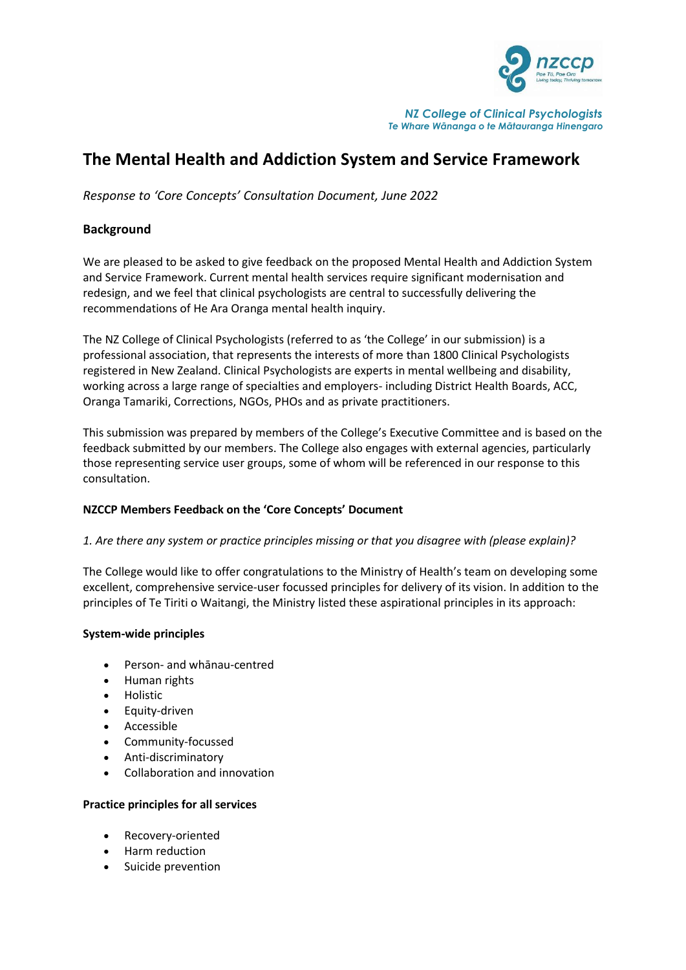

*NZ College of Clinical Psychologists Te Whare Wānanga o te Mātauranga Hinengaro*

# **The Mental Health and Addiction System and Service Framework**

*Response to 'Core Concepts' Consultation Document, June 2022*

## **Background**

We are pleased to be asked to give feedback on the proposed Mental Health and Addiction System and Service Framework. Current mental health services require significant modernisation and redesign, and we feel that clinical psychologists are central to successfully delivering the recommendations of He Ara Oranga mental health inquiry.

The NZ College of Clinical Psychologists (referred to as 'the College' in our submission) is a professional association, that represents the interests of more than 1800 Clinical Psychologists registered in New Zealand. Clinical Psychologists are experts in mental wellbeing and disability, working across a large range of specialties and employers- including District Health Boards, ACC, Oranga Tamariki, Corrections, NGOs, PHOs and as private practitioners.

This submission was prepared by members of the College's Executive Committee and is based on the feedback submitted by our members. The College also engages with external agencies, particularly those representing service user groups, some of whom will be referenced in our response to this consultation.

## **NZCCP Members Feedback on the 'Core Concepts' Document**

#### *1. Are there any system or practice principles missing or that you disagree with (please explain)?*

The College would like to offer congratulations to the Ministry of Health's team on developing some excellent, comprehensive service-user focussed principles for delivery of its vision. In addition to the principles of Te Tiriti o Waitangi, the Ministry listed these aspirational principles in its approach:

#### **System-wide principles**

- Person- and whānau-centred
- Human rights
- Holistic
- Equity-driven
- Accessible
- Community-focussed
- Anti-discriminatory
- Collaboration and innovation

#### **Practice principles for all services**

- Recovery-oriented
- Harm reduction
- Suicide prevention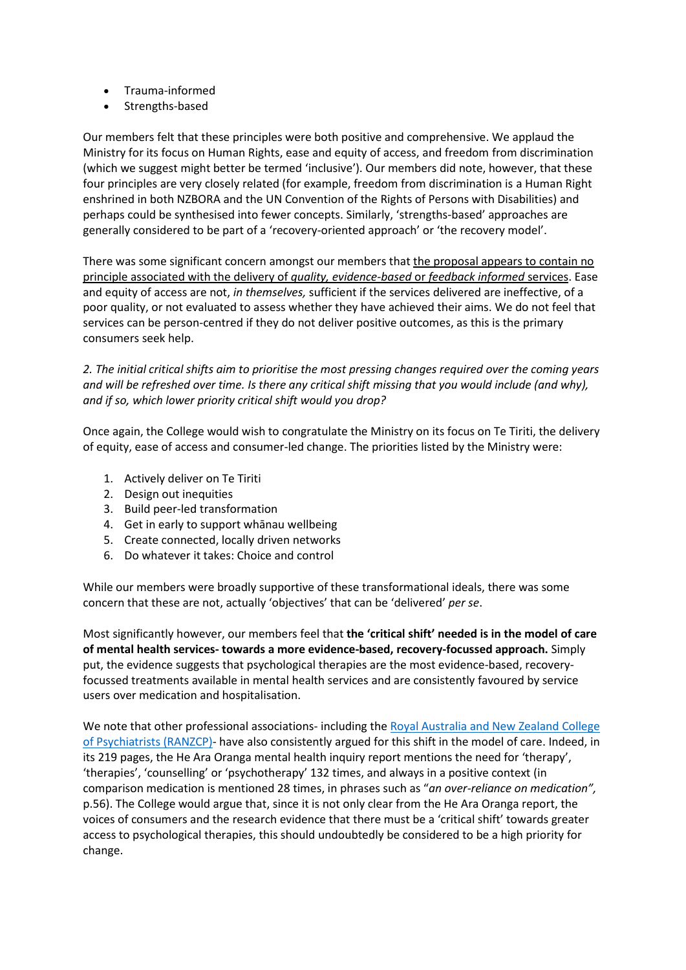- Trauma-informed
- Strengths-based

Our members felt that these principles were both positive and comprehensive. We applaud the Ministry for its focus on Human Rights, ease and equity of access, and freedom from discrimination (which we suggest might better be termed 'inclusive'). Our members did note, however, that these four principles are very closely related (for example, freedom from discrimination is a Human Right enshrined in both NZBORA and the UN Convention of the Rights of Persons with Disabilities) and perhaps could be synthesised into fewer concepts. Similarly, 'strengths-based' approaches are generally considered to be part of a 'recovery-oriented approach' or 'the recovery model'.

There was some significant concern amongst our members that the proposal appears to contain no principle associated with the delivery of *quality, evidence-based* or *feedback informed* services. Ease and equity of access are not, *in themselves,* sufficient if the services delivered are ineffective, of a poor quality, or not evaluated to assess whether they have achieved their aims. We do not feel that services can be person-centred if they do not deliver positive outcomes, as this is the primary consumers seek help.

*2. The initial critical shifts aim to prioritise the most pressing changes required over the coming years and will be refreshed over time. Is there any critical shift missing that you would include (and why), and if so, which lower priority critical shift would you drop?* 

Once again, the College would wish to congratulate the Ministry on its focus on Te Tiriti, the delivery of equity, ease of access and consumer-led change. The priorities listed by the Ministry were:

- 1. Actively deliver on Te Tiriti
- 2. Design out inequities
- 3. Build peer-led transformation
- 4. Get in early to support whānau wellbeing
- 5. Create connected, locally driven networks
- 6. Do whatever it takes: Choice and control

While our members were broadly supportive of these transformational ideals, there was some concern that these are not, actually 'objectives' that can be 'delivered' *per se*.

Most significantly however, our members feel that **the 'critical shift' needed is in the model of care of mental health services- towards a more evidence-based, recovery-focussed approach.** Simply put, the evidence suggests that psychological therapies are the most evidence-based, recoveryfocussed treatments available in mental health services and are consistently favoured by service users over medication and hospitalisation.

We note that other professional associations- including the Royal Australia and New Zealand College [of Psychiatrists](https://www.ranzcp.org/files/resources/submissions/submission-to-health-_-disability-system-review-fi.aspx) (RANZCP)- have also consistently argued for this shift in the model of care. Indeed, in its 219 pages, the He Ara Oranga mental health inquiry report mentions the need for 'therapy', 'therapies', 'counselling' or 'psychotherapy' 132 times, and always in a positive context (in comparison medication is mentioned 28 times, in phrases such as "*an over-reliance on medication",* p.56). The College would argue that, since it is not only clear from the He Ara Oranga report, the voices of consumers and the research evidence that there must be a 'critical shift' towards greater access to psychological therapies, this should undoubtedly be considered to be a high priority for change.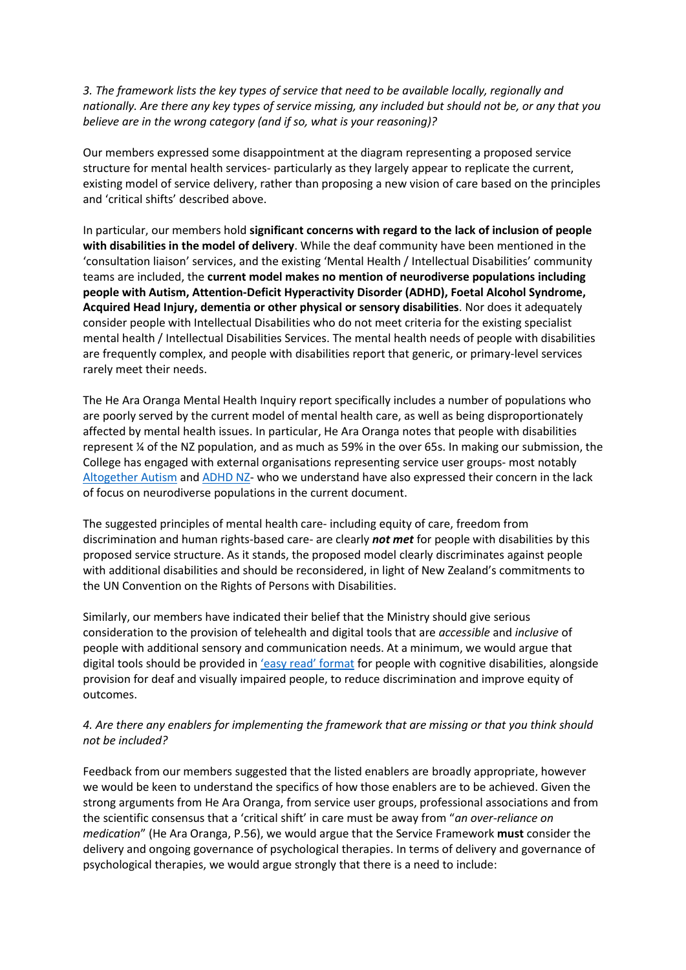*3. The framework lists the key types of service that need to be available locally, regionally and nationally. Are there any key types of service missing, any included but should not be, or any that you believe are in the wrong category (and if so, what is your reasoning)?* 

Our members expressed some disappointment at the diagram representing a proposed service structure for mental health services- particularly as they largely appear to replicate the current, existing model of service delivery, rather than proposing a new vision of care based on the principles and 'critical shifts' described above.

In particular, our members hold **significant concerns with regard to the lack of inclusion of people with disabilities in the model of delivery**. While the deaf community have been mentioned in the 'consultation liaison' services, and the existing 'Mental Health / Intellectual Disabilities' community teams are included, the **current model makes no mention of neurodiverse populations including people with Autism, Attention-Deficit Hyperactivity Disorder (ADHD), Foetal Alcohol Syndrome, Acquired Head Injury, dementia or other physical or sensory disabilities**. Nor does it adequately consider people with Intellectual Disabilities who do not meet criteria for the existing specialist mental health / Intellectual Disabilities Services. The mental health needs of people with disabilities are frequently complex, and people with disabilities report that generic, or primary-level services rarely meet their needs.

The He Ara Oranga Mental Health Inquiry report specifically includes a number of populations who are poorly served by the current model of mental health care, as well as being disproportionately affected by mental health issues. In particular, He Ara Oranga notes that people with disabilities represent ¼ of the NZ population, and as much as 59% in the over 65s. In making our submission, the College has engaged with external organisations representing service user groups- most notably [Altogether Autism](https://www.altogetherautism.org.nz/?gclid=CjwKCAjwqauVBhBGEiwAXOepkb9zEKXH-0tvGN1_GOlcdqu8FUYN77gV7LqwltkPZNfbcS857wmexRoCIdMQAvD_BwE) an[d ADHD NZ-](https://www.adhd.org.nz/) who we understand have also expressed their concern in the lack of focus on neurodiverse populations in the current document.

The suggested principles of mental health care- including equity of care, freedom from discrimination and human rights-based care- are clearly *not met* for people with disabilities by this proposed service structure. As it stands, the proposed model clearly discriminates against people with additional disabilities and should be reconsidered, in light of New Zealand's commitments to the UN Convention on the Rights of Persons with Disabilities.

Similarly, our members have indicated their belief that the Ministry should give serious consideration to the provision of telehealth and digital tools that are *accessible* and *inclusive* of people with additional sensory and communication needs. At a minimum, we would argue that digital tools should be provided in ['easy read'](https://www.odi.govt.nz/guidance-and-resources/a-guide-to-making-easy-read-information/) format for people with cognitive disabilities, alongside provision for deaf and visually impaired people, to reduce discrimination and improve equity of outcomes.

## *4. Are there any enablers for implementing the framework that are missing or that you think should not be included?*

Feedback from our members suggested that the listed enablers are broadly appropriate, however we would be keen to understand the specifics of how those enablers are to be achieved. Given the strong arguments from He Ara Oranga, from service user groups, professional associations and from the scientific consensus that a 'critical shift' in care must be away from "*an over-reliance on medication*" (He Ara Oranga, P.56), we would argue that the Service Framework **must** consider the delivery and ongoing governance of psychological therapies. In terms of delivery and governance of psychological therapies, we would argue strongly that there is a need to include: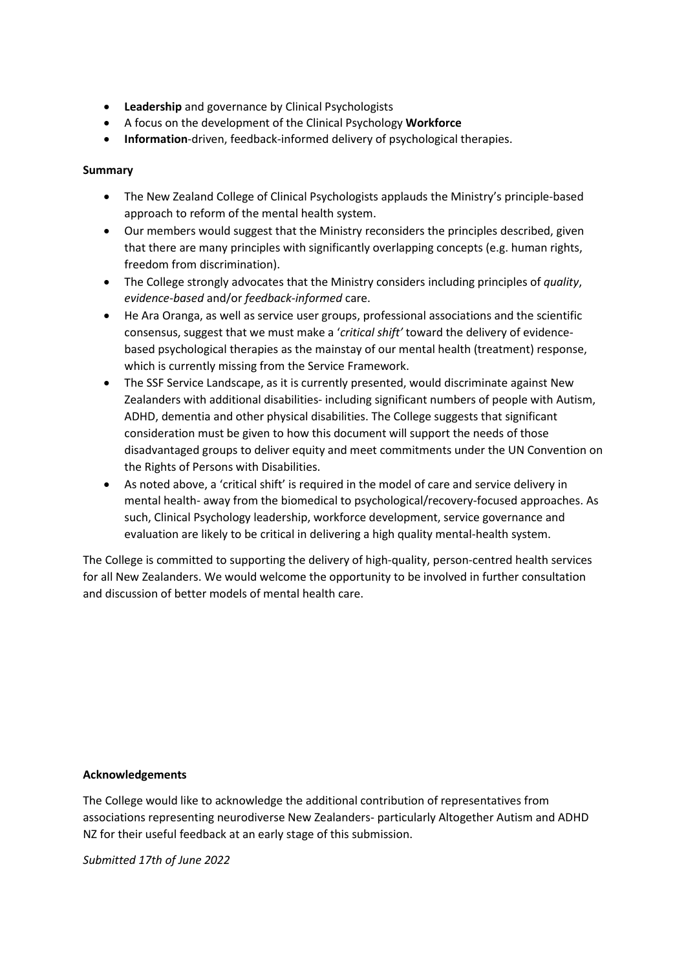- **Leadership** and governance by Clinical Psychologists
- A focus on the development of the Clinical Psychology **Workforce**
- **Information**-driven, feedback-informed delivery of psychological therapies.

### **Summary**

- The New Zealand College of Clinical Psychologists applauds the Ministry's principle-based approach to reform of the mental health system.
- Our members would suggest that the Ministry reconsiders the principles described, given that there are many principles with significantly overlapping concepts (e.g. human rights, freedom from discrimination).
- The College strongly advocates that the Ministry considers including principles of *quality*, *evidence-based* and/or *feedback-informed* care.
- He Ara Oranga, as well as service user groups, professional associations and the scientific consensus, suggest that we must make a '*critical shift'* toward the delivery of evidencebased psychological therapies as the mainstay of our mental health (treatment) response, which is currently missing from the Service Framework.
- The SSF Service Landscape, as it is currently presented, would discriminate against New Zealanders with additional disabilities- including significant numbers of people with Autism, ADHD, dementia and other physical disabilities. The College suggests that significant consideration must be given to how this document will support the needs of those disadvantaged groups to deliver equity and meet commitments under the UN Convention on the Rights of Persons with Disabilities.
- As noted above, a 'critical shift' is required in the model of care and service delivery in mental health- away from the biomedical to psychological/recovery-focused approaches. As such, Clinical Psychology leadership, workforce development, service governance and evaluation are likely to be critical in delivering a high quality mental-health system.

The College is committed to supporting the delivery of high-quality, person-centred health services for all New Zealanders. We would welcome the opportunity to be involved in further consultation and discussion of better models of mental health care.

#### **Acknowledgements**

The College would like to acknowledge the additional contribution of representatives from associations representing neurodiverse New Zealanders- particularly Altogether Autism and ADHD NZ for their useful feedback at an early stage of this submission.

*Submitted 17th of June 2022*